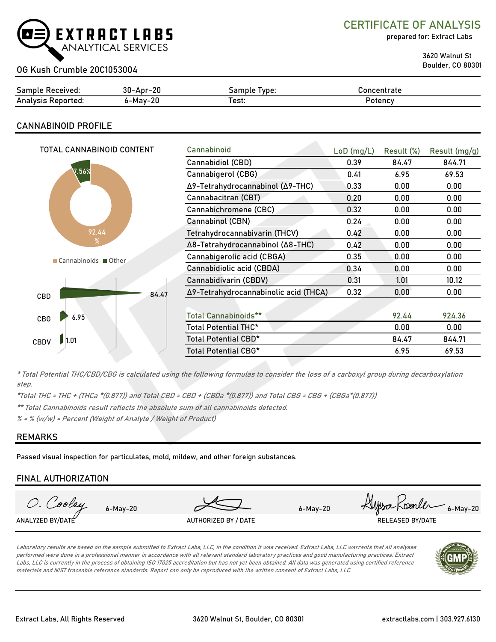

CERTIFICATE OF ANALYSIS

prepared for: Extract Labs

3620 Walnut St

# Boulder, CO 80301 OG Kush Crumble 20C1053004

| Sample                  | $30 -$ Apr $-$ | Type:  | Concentrate |
|-------------------------|----------------|--------|-------------|
| :Received               | ZU             | Sample |             |
| Analysis<br>: Reported: | 6-Mav-20       | est:   | Potency     |

## CANNABINOID PROFILE

| TOTAL CANNABINOID CONTENT | Cannabinoid                           | $LoD$ (mg/L) | Result (%) | Result (mg/g) |
|---------------------------|---------------------------------------|--------------|------------|---------------|
|                           | Cannabidiol (CBD)                     | 0.39         | 84.47      | 844.71        |
| $\nabla.56%$              | Cannabigerol (CBG)                    | 0.41         | 6.95       | 69.53         |
|                           | Δ9-Tetrahydrocannabinol (Δ9-THC)      | 0.33         | 0.00       | 0.00          |
|                           | Cannabacitran (CBT)                   | 0.20         | 0.00       | 0.00          |
|                           | Cannabichromene (CBC)                 | 0.32         | 0.00       | 0.00          |
|                           | Cannabinol (CBN)                      | 0.24         | 0.00       | 0.00          |
| 92.44                     | Tetrahydrocannabivarin (THCV)         | 0.42         | 0.00       | 0.00          |
| %                         | Δ8-Tetrahydrocannabinol (Δ8-THC)      | 0.42         | 0.00       | 0.00          |
| Cannabinoids Other        | Cannabigerolic acid (CBGA)            | 0.35         | 0.00       | 0.00          |
|                           | Cannabidiolic acid (CBDA)             | 0.34         | 0.00       | 0.00          |
|                           | Cannabidivarin (CBDV)                 | 0.31         | 1.01       | 10.12         |
| 84.47<br>CBD              | Δ9-Tetrahydrocannabinolic acid (THCA) | 0.32         | 0.00       | 0.00          |
|                           |                                       |              |            |               |
| 6.95<br>CBG               | <b>Total Cannabinoids**</b>           |              | 92.44      | 924.36        |
|                           | Total Potential THC*                  |              | 0.00       | 0.00          |
| 1.01<br><b>CBDV</b>       | Total Potential CBD*                  |              | 84.47      | 844.71        |
|                           | Total Potential CBG*                  |              | 6.95       | 69.53         |

\* Total Potential THC/CBD/CBG is calculated using the following formulas to consider the loss of a carboxyl group during decarboxylation step.

\*Total THC = THC + (THCa \*(0.877)) and Total CBD = CBD + (CBDa \*(0.877)) and Total CBG = CBG + (CBGa\*(0.877))

\*\* Total Cannabinoids result reflects the absolute sum of all cannabinoids detected.

 $% =$  % (w/w) = Percent (Weight of Analyte / Weight of Product)

### REMARKS

Passed visual inspection for particulates, mold, mildew, and other foreign substances.

### FINAL AUTHORIZATION



Laboratory results are based on the sample submitted to Extract Labs, LLC, in the condition it was received. Extract Labs, LLC warrants that all analyses performed were done in a professional manner in accordance with all relevant standard laboratory practices and good manufacturing practices. Extract Labs, LLC is currently in the process of obtaining ISO 17025 accreditation but has not yet been obtained. All data was generated using certified reference materials and NIST traceable reference standards. Report can only be reproduced with the written consent of Extract Labs, LLC.

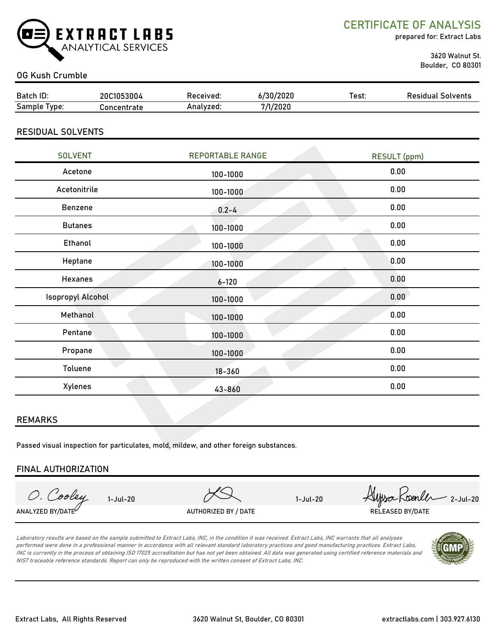

CERTIFICATE OF ANALYSIS

prepared for: Extract Labs

 3620 Walnut St. Boulder, CO 80301

### OG Kush Crumble

| Batch ID:                | 20C1053004  | Received: | 6/30/2020 | Test: | <b>Residual Solvents</b> |
|--------------------------|-------------|-----------|-----------|-------|--------------------------|
| Sample Type:             | Concentrate | Analyzed: | 7/1/2020  |       |                          |
|                          |             |           |           |       |                          |
| <b>RESIDUAL SOLVENTS</b> |             |           |           |       |                          |

| <b>SOLVENT</b>           | <b>REPORTABLE RANGE</b> | <b>RESULT</b> (ppm) |
|--------------------------|-------------------------|---------------------|
| Acetone                  | 100-1000                | 0.00                |
| Acetonitrile             | 100-1000                | 0.00                |
| Benzene                  | $0.2 - 4$               | 0.00                |
| <b>Butanes</b>           | 100-1000                | 0.00                |
| Ethanol                  | 100-1000                | 0.00                |
| Heptane                  | 100-1000                | 0.00                |
| Hexanes                  | $6 - 120$               | 0.00                |
| <b>Isopropyl Alcohol</b> | 100-1000                | 0.00                |
| Methanol                 | 100-1000                | 0.00                |
| Pentane                  | 100-1000                | 0.00                |
| Propane                  | 100-1000                | 0.00                |
| Toluene                  | $18 - 360$              | 0.00                |
| Xylenes                  | 43-860                  | 0.00                |

#### REMARKS

Passed visual inspection for particulates, mold, mildew, and other foreign substances.

#### FINAL AUTHORIZATION

O. Cooley ANALYZED BY/DATE $^\vee$  authorized by / Date and the released by/date released by/date

1-Jul-20 2-Jul-20 2-Jul-20

Laboratory results are based on the sample submitted to Extract Labs, INC, in the condition it was received. Extract Labs, INC warrants that all analyses performed were done in a professional manner in accordance with all relevant standard laboratory practices and good manufacturing practices. Extract Labs, INC is currently in the process of obtaining ISO 17025 accreditation but has not yet been obtained. All data was generated using certified reference materials and NIST traceable reference standards. Report can only be reproduced with the written consent of Extract Labs, INC.